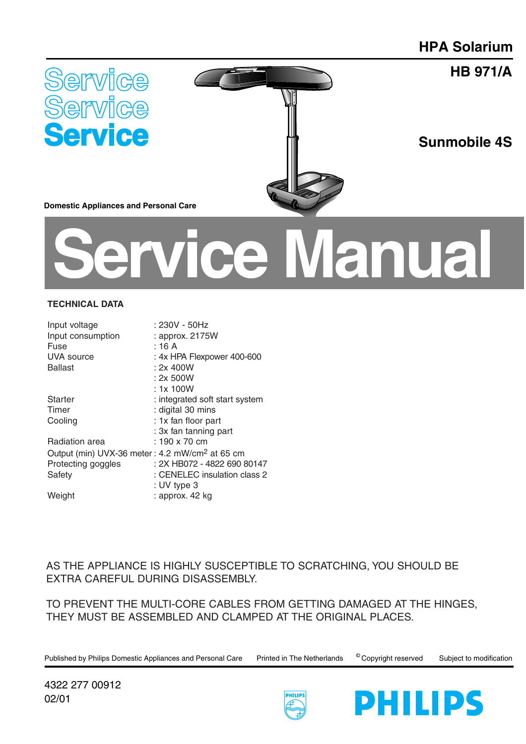**HB 971/A**





**Sunmobile 4S**

**Domestic Appliances and Personal Care** 

# ice Manual

### **TECHNICAL DATA**

| Input voltage                                              | : 230V - 50Hz                  |
|------------------------------------------------------------|--------------------------------|
| Input consumption                                          | : approx. 2175W                |
| Fuse                                                       | : 16A                          |
| UVA source                                                 | : 4x HPA Flexpower 400-600     |
| <b>Ballast</b>                                             | : 2x 400W                      |
|                                                            | : 2x 500W                      |
|                                                            | : 1x100W                       |
| Starter                                                    | : integrated soft start system |
| Timer                                                      | : digital 30 mins              |
| Cooling                                                    | : 1x fan floor part            |
|                                                            | : 3x fan tanning part          |
| Radiation area                                             | : 190 x 70 cm                  |
| Output (min) UVX-36 meter: 4.2 mW/cm <sup>2</sup> at 65 cm |                                |
| Protecting goggles                                         | : 2X HB072 - 4822 690 80147    |
| Safety                                                     | : CENELEC insulation class 2   |
|                                                            | : UV type 3                    |
| Weight                                                     | : approx. 42 kg                |
|                                                            |                                |

# AS THE APPLIANCE IS HIGHLY SUSCEPTIBLE TO SCRATCHING, YOU SHOULD BE EXTRA CAREFUL DURING DISASSEMBLY.

TO PREVENT THE MULTI-CORE CABLES FROM GETTING DAMAGED AT THE HINGES, THEY MUST BE ASSEMBLED AND CLAMPED AT THE ORIGINAL PLACES.

Published by Philips Domestic Appliances and Personal Care Printed in The Netherlands © Copyright reserved Subject to modification



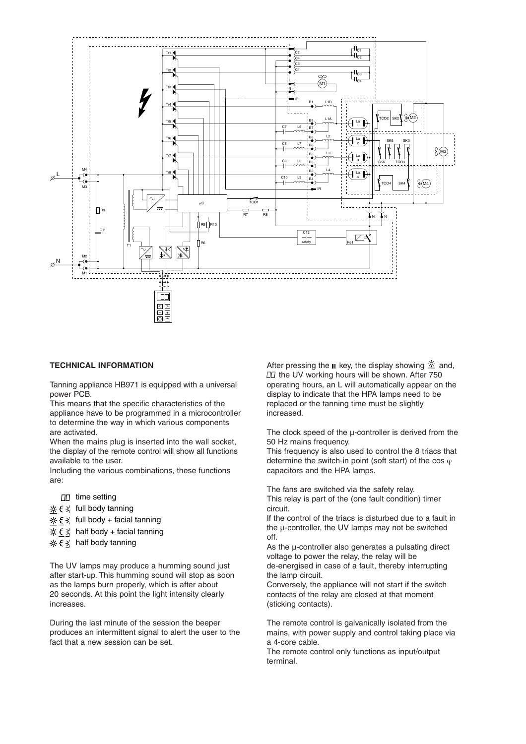

#### **TECHNICAL INFORMATION**

Tanning appliance HB971 is equipped with a universal power PCB.

This means that the specific characteristics of the appliance have to be programmed in a microcontroller to determine the way in which various components are activated.

When the mains plug is inserted into the wall socket. the display of the remote control will show all functions available to the user.

Including the various combinations, these functions are:

- $\Pi$  time setting
- $x \in \mathcal{X}$  full body tanning
- $\frac{1}{2}$  $\xi \xi$  full body + facial tanning
- $\frac{1}{2}$   $\xi \xi$  half body + facial tanning
- $\frac{1}{2}$   $\xi \in \frac{1}{2}$  half body tanning

The UV lamps may produce a humming sound just after start-up. This humming sound will stop as soon as the lamps burn properly, which is after about 20 seconds. At this point the light intensity clearly increases.

During the last minute of the session the beeper produces an intermittent signal to alert the user to the fact that a new session can be set.

After pressing the **II** key, the display showing  $\frac{1}{2}$  and, **DD** the UV working hours will be shown. After 750 operating hours, an L will automatically appear on the display to indicate that the HPA lamps need to be replaced or the tanning time must be slightly increased.

The clock speed of the  $\mu$ -controller is derived from the 50 Hz mains frequency.

This frequency is also used to control the 8 triacs that determine the switch-in point (soft start) of the cos  $\varphi$ capacitors and the HPA lamps.

The fans are switched via the safety relay. This relay is part of the (one fault condition) timer circuit.

If the control of the triacs is disturbed due to a fault in the µ-controller, the UV lamps may not be switched off.

As the µ-controller also generates a pulsating direct voltage to power the relay, the relay will be de-energised in case of a fault, thereby interrupting the lamp circuit.

Conversely, the appliance will not start if the switch contacts of the relay are closed at that moment (sticking contacts).

The remote control is galvanically isolated from the mains, with power supply and control taking place via a 4-core cable.

The remote control only functions as input/output terminal.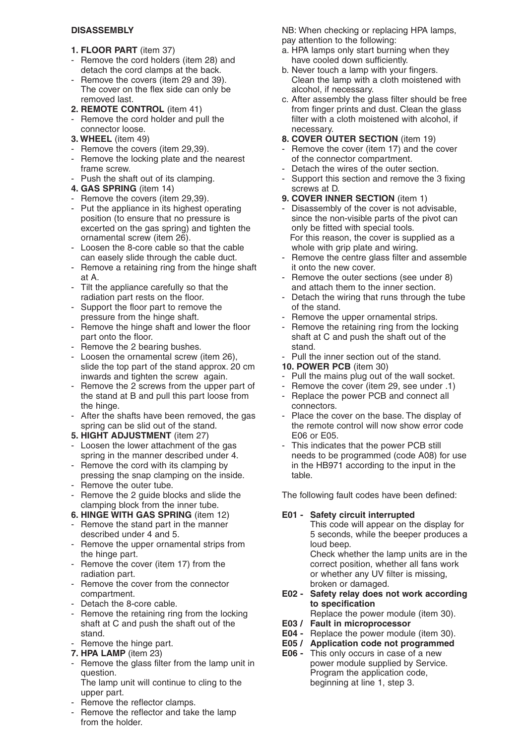# **DISASSEMBLY**

- **1. FLOOR PART** (item 37)
- Remove the cord holders (item 28) and detach the cord clamps at the back.
- Remove the covers (item 29 and 39). The cover on the flex side can only be removed last.
- **2. REMOTE CONTROL** (item 41)
- Remove the cord holder and pull the connector loose.
- **3. WHEEL** (item 49)
- Remove the covers (item 29,39).
- Remove the locking plate and the nearest frame screw.
- Push the shaft out of its clamping.
- **4. GAS SPRING** (item 14)
- Remove the covers (item 29,39).
- Put the appliance in its highest operating position (to ensure that no pressure is excerted on the gas spring) and tighten the ornamental screw (item 26).
- Loosen the 8-core cable so that the cable can easely slide through the cable duct.
- Remove a retaining ring from the hinge shaft at A.
- Tilt the appliance carefully so that the radiation part rests on the floor.
- Support the floor part to remove the pressure from the hinge shaft.
- Remove the hinge shaft and lower the floor part onto the floor.
- Remove the 2 bearing bushes.
- Loosen the ornamental screw (item 26), slide the top part of the stand approx. 20 cm inwards and tighten the screw again.
- Remove the 2 screws from the upper part of the stand at B and pull this part loose from the hinge.
- After the shafts have been removed, the gas spring can be slid out of the stand.
- **5. HIGHT ADJUSTMENT** (item 27)
- Loosen the lower attachment of the gas spring in the manner described under 4.
- Remove the cord with its clamping by pressing the snap clamping on the inside.
- Remove the outer tube.
- Remove the 2 guide blocks and slide the clamping block from the inner tube.
- **6. HINGE WITH GAS SPRING** (item 12)
- Remove the stand part in the manner described under 4 and 5.
- Remove the upper ornamental strips from the hinge part.
- Remove the cover (item 17) from the radiation part.
- Remove the cover from the connector compartment.
- Detach the 8-core cable.
- Remove the retaining ring from the locking shaft at C and push the shaft out of the stand.
- Remove the hinge part.
- **7. HPA LAMP** (item 23)
- Remove the glass filter from the lamp unit in question.
- The lamp unit will continue to cling to the upper part.
- Remove the reflector clamps.
- Remove the reflector and take the lamp from the holder.

NB: When checking or replacing HPA lamps, pay attention to the following:

- a. HPA lamps only start burning when they have cooled down sufficiently.
- b. Never touch a lamp with your fingers. Clean the lamp with a cloth moistened with alcohol, if necessary.
- c. After assembly the glass filter should be free from finger prints and dust. Clean the glass filter with a cloth moistened with alcohol, if necessary.
- **8. COVER OUTER SECTION** (item 19)
- Remove the cover (item 17) and the cover of the connector compartment.
- Detach the wires of the outer section.
- Support this section and remove the 3 fixing screws at D.
- **9. COVER INNER SECTION** (item 1)
- Disassembly of the cover is not advisable, since the non-visible parts of the pivot can only be fitted with special tools. For this reason, the cover is supplied as a whole with grip plate and wiring.
- Remove the centre glass filter and assemble it onto the new cover.
- Remove the outer sections (see under 8) and attach them to the inner section.
- Detach the wiring that runs through the tube of the stand.
- Remove the upper ornamental strips.
- Remove the retaining ring from the locking shaft at C and push the shaft out of the stand.
- Pull the inner section out of the stand.
- **10. POWER PCB** (item 30)
- Pull the mains plug out of the wall socket.
- Remove the cover (item 29, see under .1)
- Replace the power PCB and connect all connectors.
- Place the cover on the base. The display of the remote control will now show error code E06 or E05.
- This indicates that the power PCB still needs to be programmed (code A08) for use in the HB971 according to the input in the table.

The following fault codes have been defined:

# **E01 - Safety circuit interrupted**

This code will appear on the display for 5 seconds, while the beeper produces a loud beep.

Check whether the lamp units are in the correct position, whether all fans work or whether any UV filter is missing, broken or damaged.

- **E02 Safety relay does not work according to specification**
	- Replace the power module (item 30).
- **E03 / Fault in microprocessor**
- **E04 -** Replace the power module (item 30).
- **E05 / Application code not programmed**
- **E06 -** This only occurs in case of a new power module supplied by Service. Program the application code, beginning at line 1, step 3.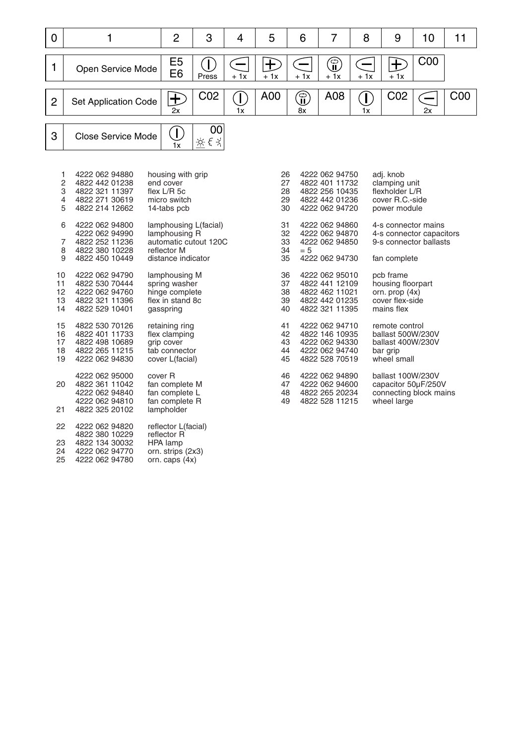| $\mathbf 0$                        | 1                                                                                      | $\overline{2}$                                                                                       | 3                          | 4                 | 5                                                                                      | 6                 | 7                                                                                         | 8                                                                                 | 9                                                                                   | 10              | 11              |  |
|------------------------------------|----------------------------------------------------------------------------------------|------------------------------------------------------------------------------------------------------|----------------------------|-------------------|----------------------------------------------------------------------------------------|-------------------|-------------------------------------------------------------------------------------------|-----------------------------------------------------------------------------------|-------------------------------------------------------------------------------------|-----------------|-----------------|--|
| $\mathbf{1}$                       | Open Service Mode                                                                      | E <sub>5</sub><br>E <sub>6</sub>                                                                     | Œ<br>Press                 | $\equiv$<br>$+1x$ | 七<br>$+1x$                                                                             | $\equiv$<br>$+1x$ | $\textcircled{\small{\textsf{I}}}$<br>$+1x$                                               | $\equiv$<br>$+1x$                                                                 | $\bf \overline{E}$<br>$+1x$                                                         | C <sub>00</sub> |                 |  |
| $\overline{2}$                     | <b>Set Application Code</b>                                                            | $\bf \pm$<br>2x                                                                                      | C <sub>02</sub>            | T)<br>1x          | A00                                                                                    | $\bigoplus$<br>8x | A08                                                                                       | $\left(\mathsf{I}\right)$<br>1x                                                   | C <sub>02</sub>                                                                     | $\equiv$<br>2x  | C <sub>00</sub> |  |
| 3                                  | <b>Close Service Mode</b>                                                              | Œ<br>1x                                                                                              | 00<br>立とえ                  |                   |                                                                                        |                   |                                                                                           |                                                                                   |                                                                                     |                 |                 |  |
| 1<br>$\overline{2}$<br>3<br>4<br>5 | 4222 062 94880<br>4822 442 01238<br>4822 321 11397<br>4822 271 30619<br>4822 214 12662 | housing with grip<br>end cover<br>flex $L/R$ 5c<br>micro switch<br>14-tabs pcb                       |                            |                   | 26<br>27<br>28<br>29<br>30                                                             |                   | 4222 062 94750<br>4822 401 11732<br>4822 256 10435<br>4822 442 01236<br>4222 062 94720    |                                                                                   | adj. knob<br>clamping unit<br>flexholder L/R<br>cover R.C.-side<br>power module     |                 |                 |  |
| 6<br>7<br>8<br>9                   | 4222 062 94800<br>4222 062 94990<br>4822 252 11236<br>4822 380 10228<br>4822 450 10449 | lamphousing L(facial)<br>lamphousing R<br>automatic cutout 120C<br>reflector M<br>distance indicator | 31<br>32<br>33<br>34<br>35 | $= 5$             | 4222 062 94860<br>4222 062 94870<br>4222 062 94850<br>4222 062 94730                   |                   | 4-s connector mains<br>4-s connector capacitors<br>9-s connector ballasts<br>fan complete |                                                                                   |                                                                                     |                 |                 |  |
| 10<br>11<br>12<br>13<br>14         | 4222 062 94790<br>4822 530 70444<br>4222 062 94760<br>4822 321 11396<br>4822 529 10401 | lamphousing M<br>spring washer<br>hinge complete<br>flex in stand 8c<br>gasspring                    | 36<br>37<br>38<br>39<br>40 |                   | 4222 062 95010<br>4822 441 12109<br>4822 462 11021<br>4822 442 01235<br>4822 321 11395 |                   | pcb frame<br>housing floorpart<br>orn. prop $(4x)$<br>cover flex-side<br>mains flex       |                                                                                   |                                                                                     |                 |                 |  |
| 15<br>16<br>17<br>18<br>19         | 4822 530 70126<br>4822 401 11733<br>4822 498 10689<br>4822 265 11215<br>4222 062 94830 | retaining ring<br>flex clamping<br>grip cover<br>tab connector<br>cover L(facial)                    |                            |                   | 41<br>42<br>43<br>44<br>45                                                             |                   | 4222 062 94710<br>4822 146 10935<br>4222 062 94330<br>4222 062 94740<br>4822 528 70519    |                                                                                   | remote control<br>ballast 500W/230V<br>ballast 400W/230V<br>bar grip<br>wheel small |                 |                 |  |
| 20<br>21                           | 4222 062 95000<br>4822 361 11042<br>4222 062 94840<br>4222 062 94810<br>4822 325 20102 | cover R<br>fan complete M<br>fan complete L<br>fan complete R<br>lampholder                          |                            |                   | 46<br>47<br>48<br>49                                                                   |                   | 4222 062 94890<br>4222 062 94600<br>4822 265 20234<br>4822 528 11215                      | ballast 100W/230V<br>capacitor 50µF/250V<br>connecting block mains<br>wheel large |                                                                                     |                 |                 |  |
| 22<br>23<br>24<br>25               | 4222 062 94820<br>4822 380 10229<br>4822 134 30032<br>4222 062 94770<br>4222 062 94780 | reflector L(facial)<br>reflector R<br>HPA lamp<br>orn. strips (2x3)<br>orn. caps $(4x)$              |                            |                   |                                                                                        |                   |                                                                                           |                                                                                   |                                                                                     |                 |                 |  |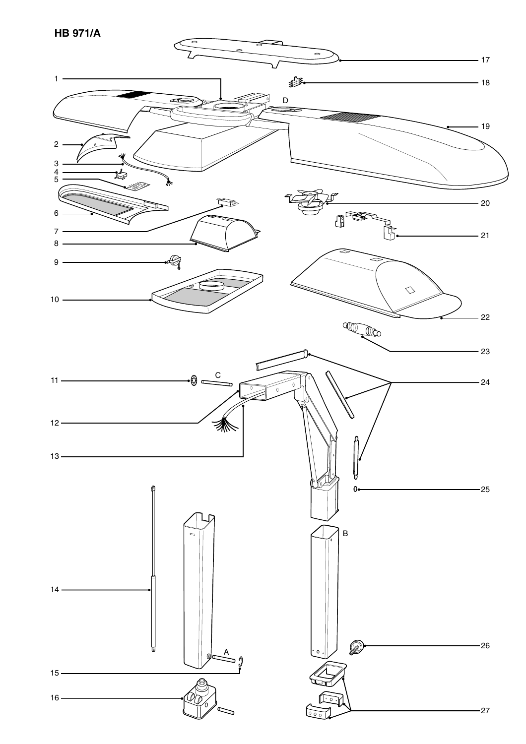**HB 971/A**

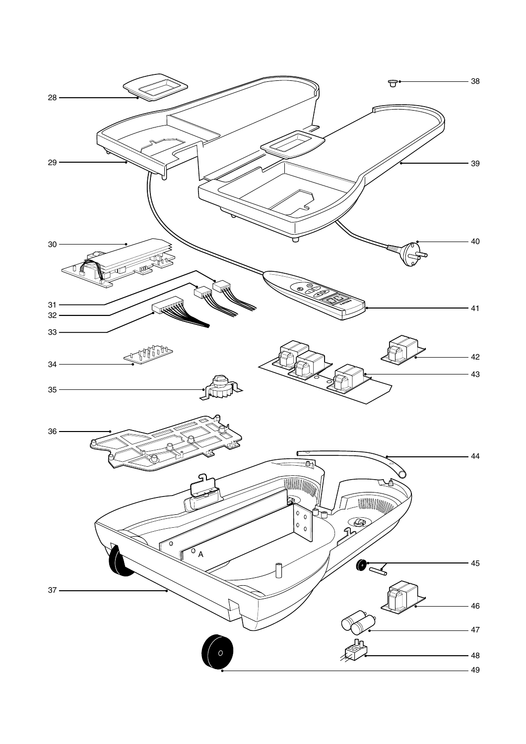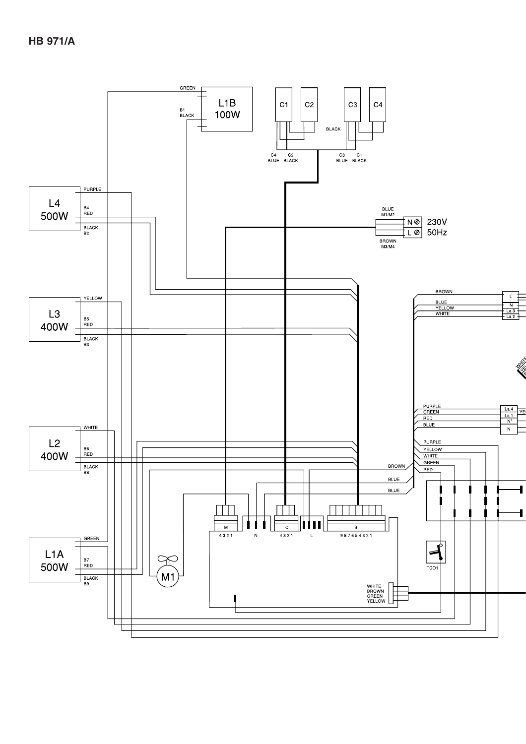